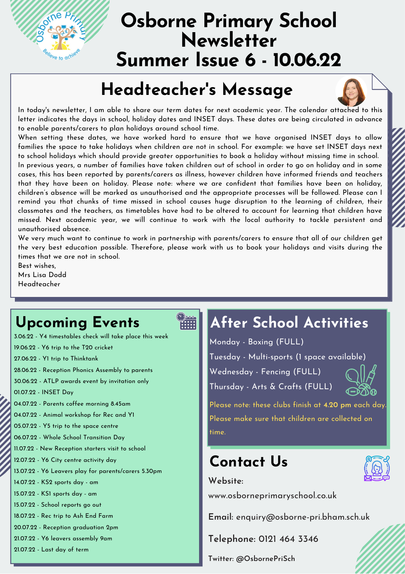

# **Osborne Primary School Newsletter Summer Issue 6 - 10.06.22**

#### **Headteacher 's Message**

In today's newsletter, I am able to share our term dates for next academic year. The calendar attached to this letter indicates the days in school, holiday dates and INSET days. These dates are being circulated in advance to enable parents/carers to plan holidays around school time.

When setting these dates, we have worked hard to ensure that we have organised INSET days to allow families the space to take holidays when children are not in school. For example: we have set INSET days next to school holidays which should provide greater opportunities to book a holiday without missing time in school. In previous years, a number of families have taken children out of school in order to go on holiday and in some cases, this has been reported by parents/carers as illness, however children have informed friends and teachers that they have been on holiday. Please note: where we are confident that families have been on holiday, children's absence will be marked as unauthorised and the appropriate processes will be followed. Please can I remind you that chunks of time missed in school causes huge disruption to the learning of children, their classmates and the teachers, as timetables have had to be altered to account for learning that children have missed. Next academic year, we will continue to work with the local authority to tackle persistent and unauthorised absence.

We very much want to continue to work in partnership with parents/carers to ensure that all of our children get the very best education possible. Therefore, please work with us to book your holidays and visits during the times that we are not in school.

Best wishes, Mrs Lisa Dodd Headteacher

## **Upcoming Events**

3.06.22 - Y4 timestables check will take place this week 19.06.22 - Y6 trip to the T20 cricket 27.06.22 - Y1 trip to Thinktank 28.06.22 - Reception Phonics Assembly to parents 30.06.22 - ATLP awards event by invitation only 01.07.22 - INSET Day 04.07.22 - Parents coffee morning 8.45am 04.07.22 - Animal workshop for Rec and Y1 05.07.22 - Y5 trip to the space centre 06.07.22 - Whole School Transition Day 11.07.22 - New Reception starters visit to school 12.07.22 - Y6 City centre activity day 13.07.22 - Y6 Leavers play for parents/carers 5.30pm 14.07.22 - KS2 sports day - am 15.07.22 - KS1 sports day - am 15.07.22 - School reports go out 18.07.22 - Rec trip to Ash End Farm 20.07.22 - Reception graduation 2pm 21.07.22 - Y6 leavers assembly 9am 21.07.22 - Last day of term

# $\sum_{i=1}^{\infty}$

## **After School Activities**

Monday - Boxing (FULL)

Tuesday - Multi-sports (1 space available)

Wednesday - Fencing (FULL)

Thursday - Arts & Crafts (FULL)



Please note: these clubs finish at **4.20 pm** each day. Please make sure that children are collected on time.

## **Contact Us**



**Website:**

www.osborneprimaryschool.co.uk

**Email:** [enquiry@osborne-pri.bham.sch.uk](mailto:enquiry@osborne-pri.bham.sch.uk)

**Telephone:** 0121 464 [3346](tel:01214643346)

**Twitter: @OsbornePriSch**